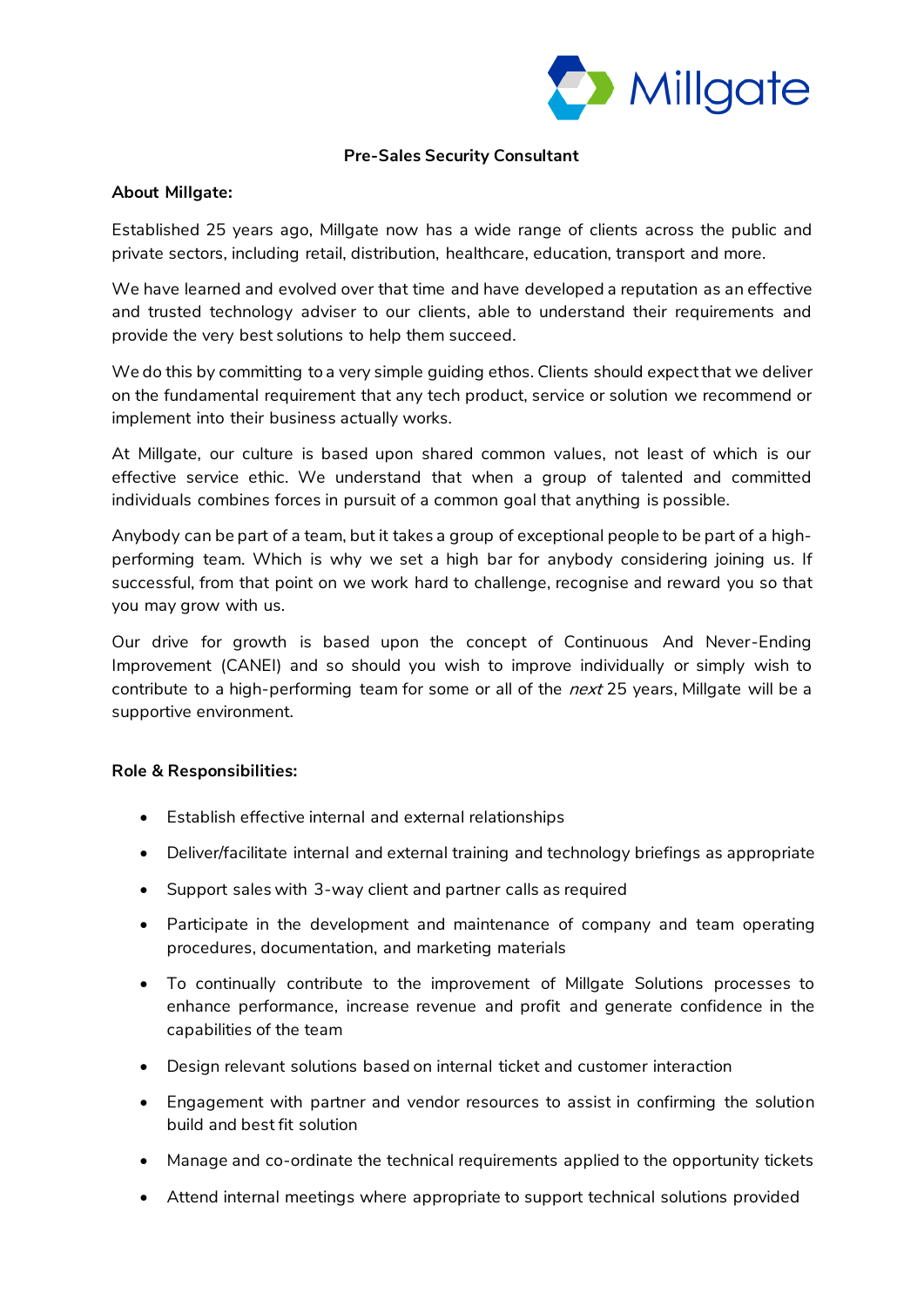

# **Pre-Sales Security Consultant**

### **About Millgate:**

Established 25 years ago, Millgate now has a wide range of clients across the public and private sectors, including retail, distribution, healthcare, education, transport and more.

We have learned and evolved over that time and have developed a reputation as an effective and trusted technology adviser to our clients, able to understand their requirements and provide the very best solutions to help them succeed.

We do this by committing to a very simple quiding ethos. Clients should expect that we deliver on the fundamental requirement that any tech product, service or solution we recommend or implement into their business actually works.

At Millgate, our culture is based upon shared common values, not least of which is our effective service ethic. We understand that when a group of talented and committed individuals combines forces in pursuit of a common goal that anything is possible.

Anybody can be part of a team, but it takes a group of exceptional people to be part of a highperforming team. Which is why we set a high bar for anybody considering joining us. If successful, from that point on we work hard to challenge, recognise and reward you so that you may grow with us.

Our drive for growth is based upon the concept of Continuous And Never-Ending Improvement (CANEI) and so should you wish to improve individually or simply wish to contribute to a high-performing team for some or all of the *next* 25 years, Millgate will be a supportive environment.

#### **Role & Responsibilities:**

- Establish effective internal and external relationships
- Deliver/facilitate internal and external training and technology briefings as appropriate
- Support sales with 3-way client and partner calls as required
- Participate in the development and maintenance of company and team operating procedures, documentation, and marketing materials
- To continually contribute to the improvement of Millgate Solutions processes to enhance performance, increase revenue and profit and generate confidence in the capabilities of the team
- Design relevant solutions based on internal ticket and customer interaction
- Engagement with partner and vendor resources to assist in confirming the solution build and best fit solution
- Manage and co-ordinate the technical requirements applied to the opportunity tickets
- Attend internal meetings where appropriate to support technical solutions provided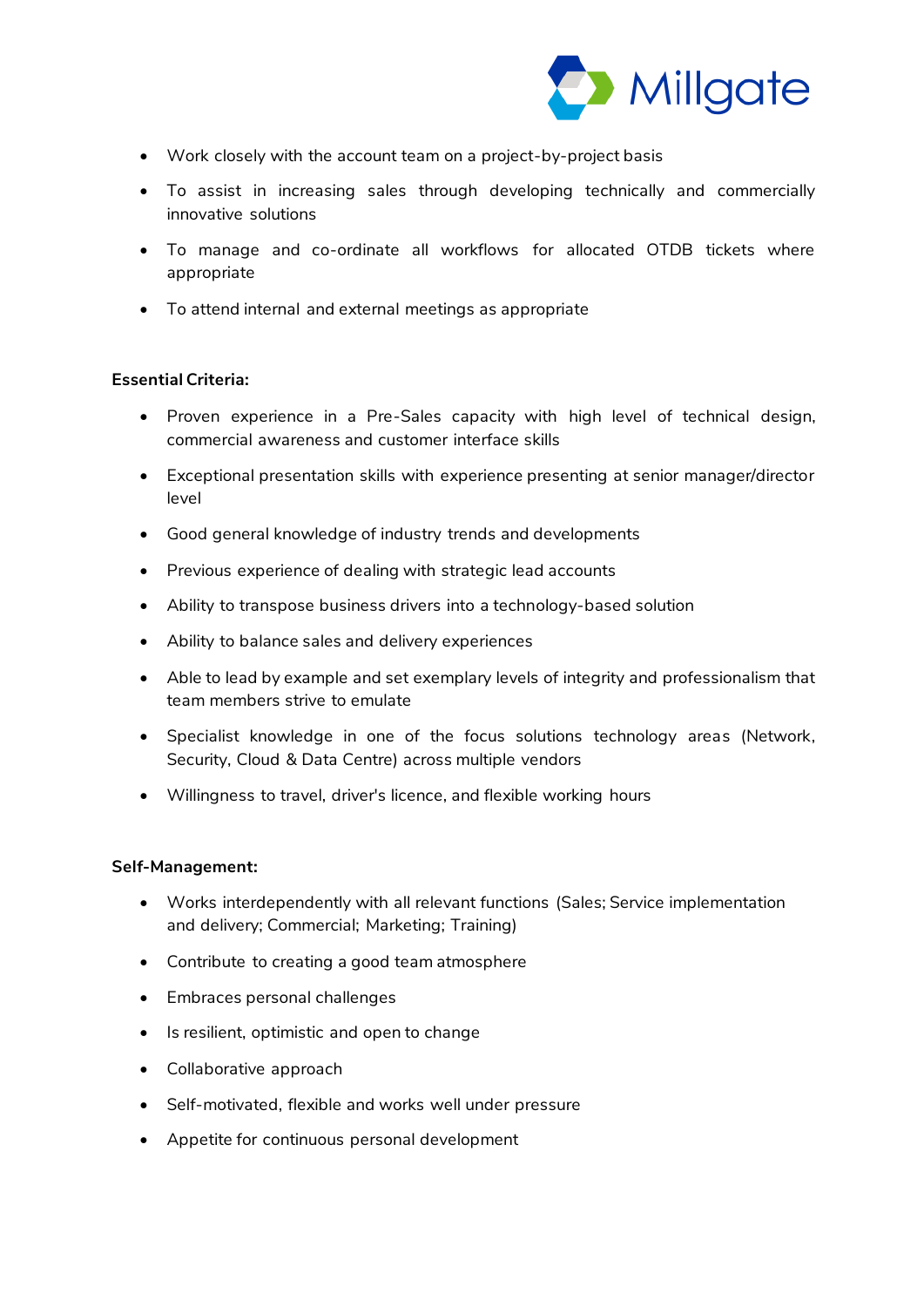

- Work closely with the account team on a project-by-project basis
- To assist in increasing sales through developing technically and commercially innovative solutions
- To manage and co-ordinate all workflows for allocated OTDB tickets where appropriate
- To attend internal and external meetings as appropriate

### **Essential Criteria:**

- Proven experience in a Pre-Sales capacity with high level of technical design, commercial awareness and customer interface skills
- Exceptional presentation skills with experience presenting at senior manager/director level
- Good general knowledge of industry trends and developments
- Previous experience of dealing with strategic lead accounts
- Ability to transpose business drivers into a technology-based solution
- Ability to balance sales and delivery experiences
- Able to lead by example and set exemplary levels of integrity and professionalism that team members strive to emulate
- Specialist knowledge in one of the focus solutions technology areas (Network, Security, Cloud & Data Centre) across multiple vendors
- Willingness to travel, driver's licence, and flexible working hours

### **Self-Management:**

- Works interdependently with all relevant functions (Sales; Service implementation and delivery; Commercial; Marketing; Training)
- Contribute to creating a good team atmosphere
- Embraces personal challenges
- Is resilient, optimistic and open to change
- Collaborative approach
- Self-motivated, flexible and works well under pressure
- Appetite for continuous personal development